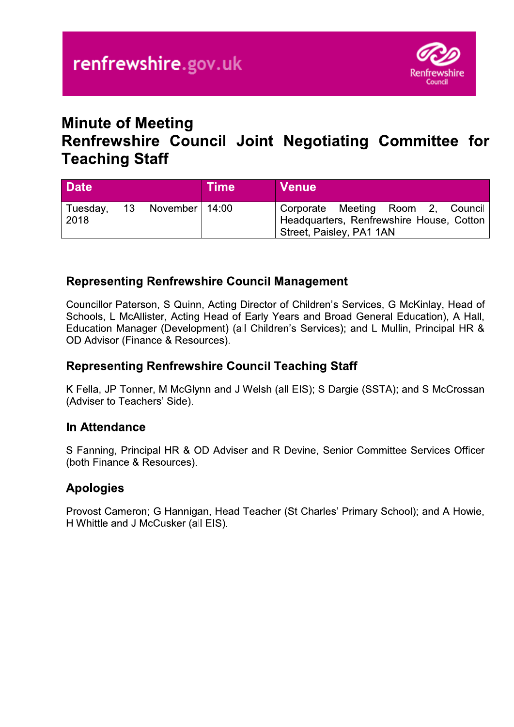

# **Minute of Meeting**

# Renfrewshire Council Joint Negotiating Committee for **Teaching Staff**

| <b>Date</b>      |    |                  | <b>Time</b> | <b>Venue</b>                                                                                              |
|------------------|----|------------------|-------------|-----------------------------------------------------------------------------------------------------------|
| Tuesday,<br>2018 | 13 | November   14:00 |             | Corporate Meeting Room 2, Council<br>Headquarters, Renfrewshire House, Cotton<br>Street, Paisley, PA1 1AN |

## **Representing Renfrewshire Council Management**

Councillor Paterson, S Quinn, Acting Director of Children's Services, G McKinlay, Head of Schools, L McAllister, Acting Head of Early Years and Broad General Education), A Hall, Education Manager (Development) (all Children's Services); and L Mullin, Principal HR & OD Advisor (Finance & Resources).

### **Representing Renfrewshire Council Teaching Staff**

K Fella, JP Tonner, M McGlynn and J Welsh (all EIS); S Dargie (SSTA); and S McCrossan (Adviser to Teachers' Side).

### **In Attendance**

S Fanning, Principal HR & OD Adviser and R Devine, Senior Committee Services Officer (both Finance & Resources).

## **Apologies**

Provost Cameron; G Hannigan, Head Teacher (St Charles' Primary School); and A Howie, H Whittle and J McCusker (all EIS).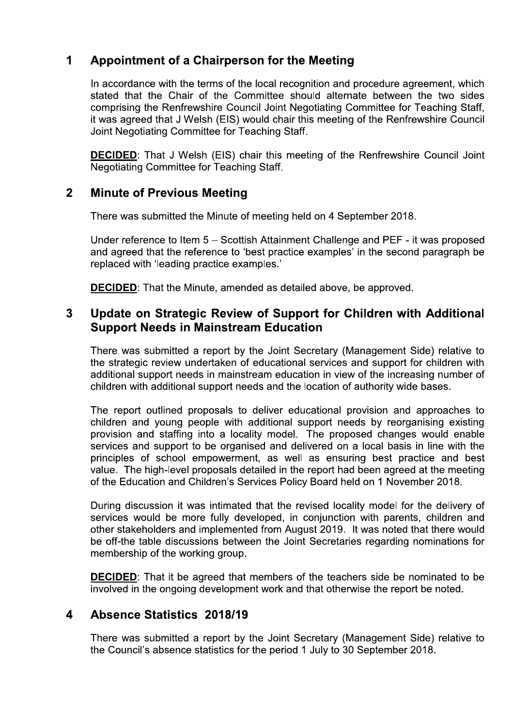#### $\mathbf 1$ **Appointment of a Chairperson for the Meeting**

In accordance with the terms of the local recognition and procedure agreement, which stated that the Chair of the Committee should alternate between the two sides comprising the Renfrewshire Council Joint Negotiating Committee for Teaching Staff, it was agreed that J Welsh (EIS) would chair this meeting of the Renfrewshire Council Joint Negotiating Committee for Teaching Staff.

**DECIDED:** That J Welsh (EIS) chair this meeting of the Renfrewshire Council Joint Negotiating Committee for Teaching Staff.

#### $\overline{2}$ **Minute of Previous Meeting**

There was submitted the Minute of meeting held on 4 September 2018.

Under reference to Item 5 – Scottish Attainment Challenge and PEF - it was proposed and agreed that the reference to 'best practice examples' in the second paragraph be replaced with 'leading practice examples.'

**DECIDED:** That the Minute, amended as detailed above, be approved.

#### $\overline{3}$ Update on Strategic Review of Support for Children with Additional **Support Needs in Mainstream Education**

There was submitted a report by the Joint Secretary (Management Side) relative to the strategic review undertaken of educational services and support for children with additional support needs in mainstream education in view of the increasing number of children with additional support needs and the location of authority wide bases.

The report outlined proposals to deliver educational provision and approaches to children and young people with additional support needs by reorganising existing provision and staffing into a locality model. The proposed changes would enable services and support to be organised and delivered on a local basis in line with the principles of school empowerment, as well as ensuring best practice and best value. The high-level proposals detailed in the report had been agreed at the meeting of the Education and Children's Services Policy Board held on 1 November 2018.

During discussion it was intimated that the revised locality model for the delivery of services would be more fully developed, in conjunction with parents, children and other stakeholders and implemented from August 2019. It was noted that there would be off-the table discussions between the Joint Secretaries regarding nominations for membership of the working group.

**DECIDED:** That it be agreed that members of the teachers side be nominated to be involved in the ongoing development work and that otherwise the report be noted.

#### $\overline{\mathbf{4}}$ **Absence Statistics 2018/19**

There was submitted a report by the Joint Secretary (Management Side) relative to the Council's absence statistics for the period 1 July to 30 September 2018.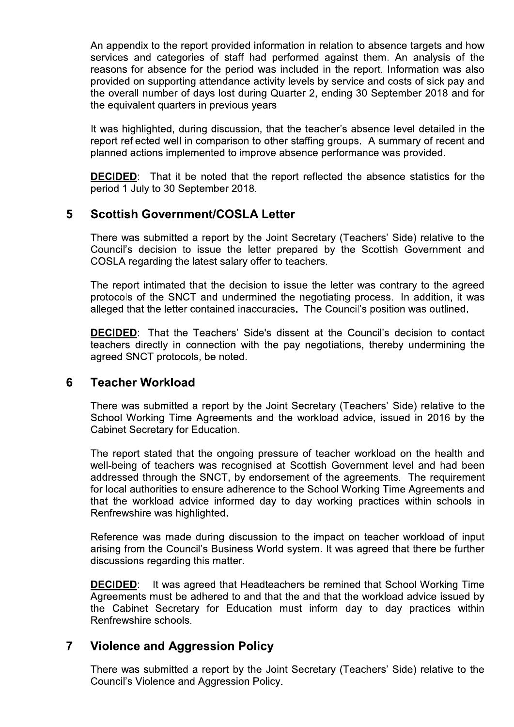An appendix to the report provided information in relation to absence targets and now services and categories of staff had performed against them. An analysis of the reasons for absence for the period was included in the report. Information was also provided on supporting attendance activity levels by service and costs of sick pay and the overall number of days lost during Quarter 2, ending 30 September 2018 and for the equivalent quarters in previous years rovided information in relation to absence targets and how<br>f staff had performed against them. An analysis of the<br>e period was included in the report. Information was also<br>ndance activity levels by service and costs of sic

i. it was highlighted, during discussion, that the tea report reflected well in comparison to other staffing groups. A summary of recent and planned actions implemented to improve absence performance was provided.

 $\overline{a}$ **DECIDED:** That it be noted that the report reflected the absence statistics for the period 1 July to 30 September 2018.

### $\mathbb{R}^2$ 5 SCOTTISN GOVERNMENT/COSLA LETTER

to issue the letter prepared by the Scottish Government and COSLA regarding the latest salary offer to teachers.

report reflected well in comparison to other staffing groups. A summary of recent and<br>planned actions implemented to improve absence performance was provided.<br>DECIDED: That it be noted that the report reflected the absence planned actions implemente<br>
DECIDED: That it be note<br>
period 1 July to 30 Septemb<br>
5 Scottish Government/<br>
There was submitted a repo<br>
Council's decision to issue<br>
COSLA regarding the latest<br>
The report intimated that the<br>  $\overline{\phantom{a}}$ The report intimated that the decision to issue the letter was contrary to the agreed protocols of the SNCT and undermined the negotiating process. In addition, it was alleged that the letter contained ina

**A Letter**<br>the Joint Secretary (Teachers' Side) relative to th<br>letter prepared by the Scottish Government an<br>v offer to teachers.<br>ision to issue the letter was contrary to the agree<br>rmined the negotiating process. In addit **DECIDED:** That the Teachers' Side's dissent at the Council's decision to contact There was submitted a report by the Joint Secretary (Teachers' Side) relative to the Council's decision to issue the letter prepared by the Scottish Government and COSLA regarding the latest salary offer to teachers.<br>The r teachers directly in connection with the pay hegotlations, thereby undermining the agreed SNCT protocols, be noted.

### $\mathbb{Z}^2$ b Leacher workload

live to the  $\overline{\phantom{a}}$ School Working Time Agreements and the Workload advice, issued in 2016 by the Cabinet Secretary for Education.

alleged that the letter contained inaccuracies. The Council's position was outlined<br> **DECIDED**: That the Teachers' Side's dissent at the Council's decision to core<br>
deachers directly in connection with the pay negotiations  $\overline{\phantom{a}}$ The report stated that the ongoing pressure of teacher workload on the health and well-being of teachers was recognised at Scottish Government level and had been addressed through the SNCT, by endorsement of the agreements. The requirement for local authorities to ensure adherence to the School Working Time Agreements and that the workload advice informed day to day working practices within schools in Renfrewshire was highlighted. The report stated that the ongoing pressure of teacher workload on the health and well-being of teachers was recognised at Scottish Government level and had been addressed through the SNCT, by endorsement of the agreements

 $\mathbf{r}$ Reference was made during discussion to the impact on teacher workload of input discussions regarding this matter.

 $\mathbf{r}$ <u>DECIDED</u>: It v was agreed that Headteachers be remined that School Working Time Agreements must be adnered to and that the and that the workload advice issued by the Cabinet Secretary for Education must inform day to day practices within Renfrewshire schools. **DECIDED:** It was agreed that Headteachers be remined that School Working Time Agreements must be adhered to and that the and that the workload advice issued by the Cabinet Secretary for Education must inform day to day pr **DECIDED**: It was agreed that Headteachers be remined the Agreements must be adhered to and that the and that the worker the Cabinet Secretary for Education must inform day the Renfrewshire schools.<br> **7** Violence and Aggre

### 7 Violence and Aggression Policy